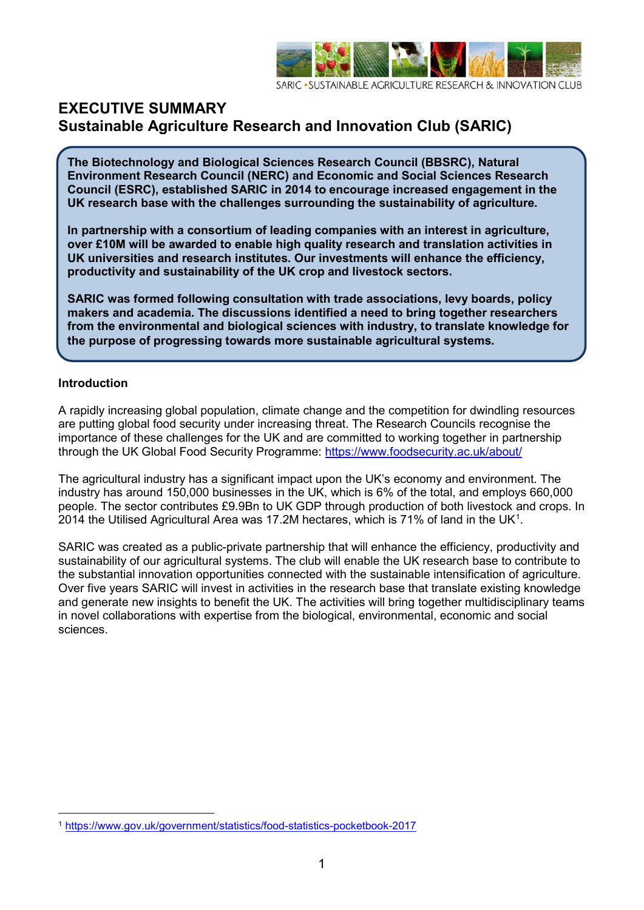

SUSTAINABLE ACRICULTURE RESEARCH & INNOVATION CLUB

### **EXECUTIVE SUMMARY Sustainable Agriculture Research and Innovation Club (SARIC)**

**The Biotechnology and Biological Sciences Research Council (BBSRC), Natural Environment Research Council (NERC) and Economic and Social Sciences Research Council (ESRC), established SARIC in 2014 to encourage increased engagement in the UK research base with the challenges surrounding the sustainability of agriculture.** 

**In partnership with a consortium of leading companies with an interest in agriculture, over £10M will be awarded to enable high quality research and translation activities in UK universities and research institutes. Our investments will enhance the efficiency, productivity and sustainability of the UK crop and livestock sectors.** 

**SARIC was formed following consultation with trade associations, levy boards, policy makers and academia. The discussions identified a need to bring together researchers from the environmental and biological sciences with industry, to translate knowledge for the purpose of progressing towards more sustainable agricultural systems.**

#### **Introduction**

A rapidly increasing global population, climate change and the competition for dwindling resources are putting global food security under increasing threat. The Research Councils recognise the importance of these challenges for the UK and are committed to working together in partnership through the UK Global Food Security Programme:<https://www.foodsecurity.ac.uk/about/>

The agricultural industry has a significant impact upon the UK's economy and environment. The industry has around 150,000 businesses in the UK, which is 6% of the total, and employs 660,000 people. The sector contributes £9.9Bn to UK GDP through production of both livestock and crops. In 20[1](#page-0-0)4 the Utilised Agricultural Area was 17.2M hectares, which is 71% of land in the UK<sup>1</sup>.

SARIC was created as a public-private partnership that will enhance the efficiency, productivity and sustainability of our agricultural systems. The club will enable the UK research base to contribute to the substantial innovation opportunities connected with the sustainable intensification of agriculture. Over five years SARIC will invest in activities in the research base that translate existing knowledge and generate new insights to benefit the UK. The activities will bring together multidisciplinary teams in novel collaborations with expertise from the biological, environmental, economic and social sciences.

<span id="page-0-0"></span><sup>1</sup> <https://www.gov.uk/government/statistics/food-statistics-pocketbook-2017>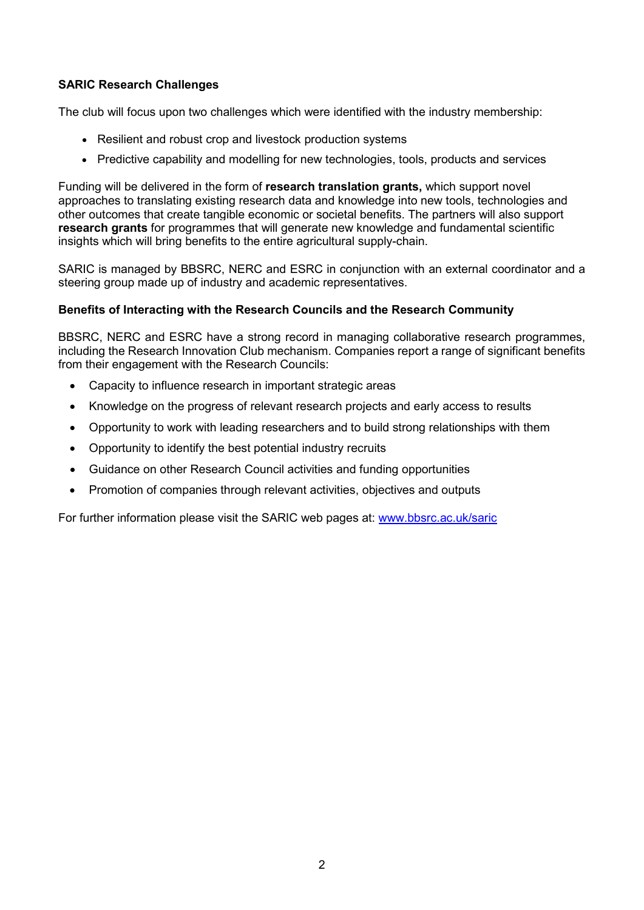### **SARIC Research Challenges**

The club will focus upon two challenges which were identified with the industry membership:

- Resilient and robust crop and livestock production systems
- Predictive capability and modelling for new technologies, tools, products and services

Funding will be delivered in the form of **research translation grants,** which support novel approaches to translating existing research data and knowledge into new tools, technologies and other outcomes that create tangible economic or societal benefits. The partners will also support **research grants** for programmes that will generate new knowledge and fundamental scientific insights which will bring benefits to the entire agricultural supply-chain.

SARIC is managed by BBSRC, NERC and ESRC in conjunction with an external coordinator and a steering group made up of industry and academic representatives.

#### **Benefits of Interacting with the Research Councils and the Research Community**

BBSRC, NERC and ESRC have a strong record in managing collaborative research programmes, including the Research Innovation Club mechanism. Companies report a range of significant benefits from their engagement with the Research Councils:

- Capacity to influence research in important strategic areas
- Knowledge on the progress of relevant research projects and early access to results
- Opportunity to work with leading researchers and to build strong relationships with them
- Opportunity to identify the best potential industry recruits
- Guidance on other Research Council activities and funding opportunities
- Promotion of companies through relevant activities, objectives and outputs

For further information please visit the SARIC web pages at: [www.bbsrc.ac.uk/saric](http://www.bbsrc.ac.uk/saric)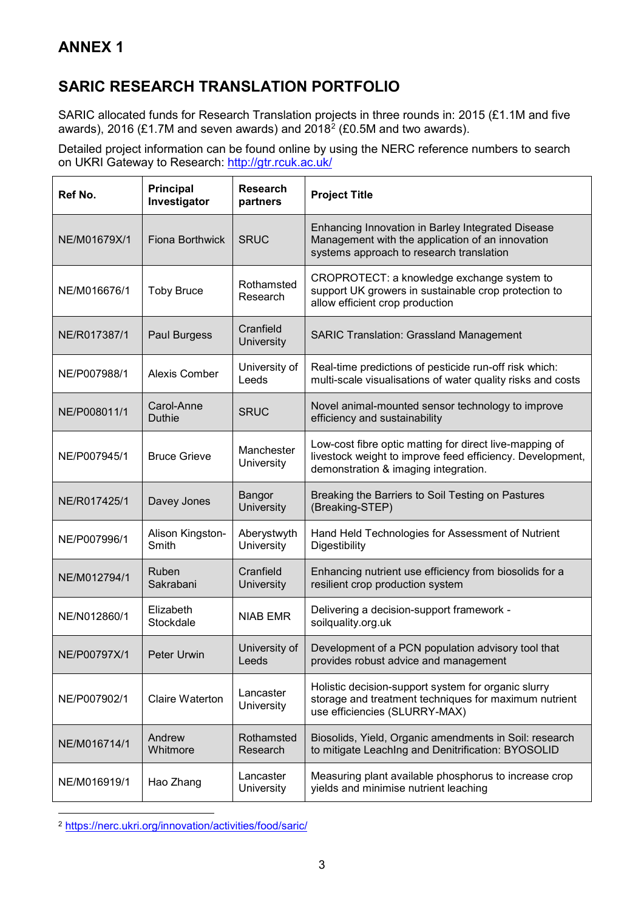## **SARIC RESEARCH TRANSLATION PORTFOLIO**

SARIC allocated funds for Research Translation projects in three rounds in: 2015 (£1.1M and five awards), [2](#page-2-0)016  $(E1.7M$  and seven awards) and 2018<sup>2</sup> (£0.5M and two awards).

Detailed project information can be found online by using the NERC reference numbers to search on UKRI Gateway to Research:<http://gtr.rcuk.ac.uk/>

| Ref No.      | <b>Principal</b><br>Investigator | <b>Research</b><br>partners      | <b>Project Title</b>                                                                                                                                         |
|--------------|----------------------------------|----------------------------------|--------------------------------------------------------------------------------------------------------------------------------------------------------------|
| NE/M01679X/1 | <b>Fiona Borthwick</b>           | <b>SRUC</b>                      | Enhancing Innovation in Barley Integrated Disease<br>Management with the application of an innovation<br>systems approach to research translation            |
| NE/M016676/1 | <b>Toby Bruce</b>                | Rothamsted<br>Research           | CROPROTECT: a knowledge exchange system to<br>support UK growers in sustainable crop protection to<br>allow efficient crop production                        |
| NE/R017387/1 | Paul Burgess                     | Cranfield<br><b>University</b>   | <b>SARIC Translation: Grassland Management</b>                                                                                                               |
| NE/P007988/1 | Alexis Comber                    | University of<br>Leeds           | Real-time predictions of pesticide run-off risk which:<br>multi-scale visualisations of water quality risks and costs                                        |
| NE/P008011/1 | Carol-Anne<br><b>Duthie</b>      | <b>SRUC</b>                      | Novel animal-mounted sensor technology to improve<br>efficiency and sustainability                                                                           |
| NE/P007945/1 | <b>Bruce Grieve</b>              | Manchester<br>University         | Low-cost fibre optic matting for direct live-mapping of<br>livestock weight to improve feed efficiency. Development,<br>demonstration & imaging integration. |
| NE/R017425/1 | Davey Jones                      | Bangor<br><b>University</b>      | Breaking the Barriers to Soil Testing on Pastures<br>(Breaking-STEP)                                                                                         |
| NE/P007996/1 | Alison Kingston-<br>Smith        | Aberystwyth<br><b>University</b> | Hand Held Technologies for Assessment of Nutrient<br>Digestibility                                                                                           |
| NE/M012794/1 | Ruben<br>Sakrabani               | Cranfield<br>University          | Enhancing nutrient use efficiency from biosolids for a<br>resilient crop production system                                                                   |
| NE/N012860/1 | Elizabeth<br>Stockdale           | <b>NIAB EMR</b>                  | Delivering a decision-support framework -<br>soilquality.org.uk                                                                                              |
| NE/P00797X/1 | Peter Urwin                      | University of<br>Leeds           | Development of a PCN population advisory tool that<br>provides robust advice and management                                                                  |
| NE/P007902/1 | <b>Claire Waterton</b>           | Lancaster<br>University          | Holistic decision-support system for organic slurry<br>storage and treatment techniques for maximum nutrient<br>use efficiencies (SLURRY-MAX)                |
| NE/M016714/1 | Andrew<br>Whitmore               | Rothamsted<br>Research           | Biosolids, Yield, Organic amendments in Soil: research<br>to mitigate LeachIng and Denitrification: BYOSOLID                                                 |
| NE/M016919/1 | Hao Zhang                        | Lancaster<br>University          | Measuring plant available phosphorus to increase crop<br>yields and minimise nutrient leaching                                                               |

<span id="page-2-0"></span><u>.</u> <sup>2</sup> <https://nerc.ukri.org/innovation/activities/food/saric/>